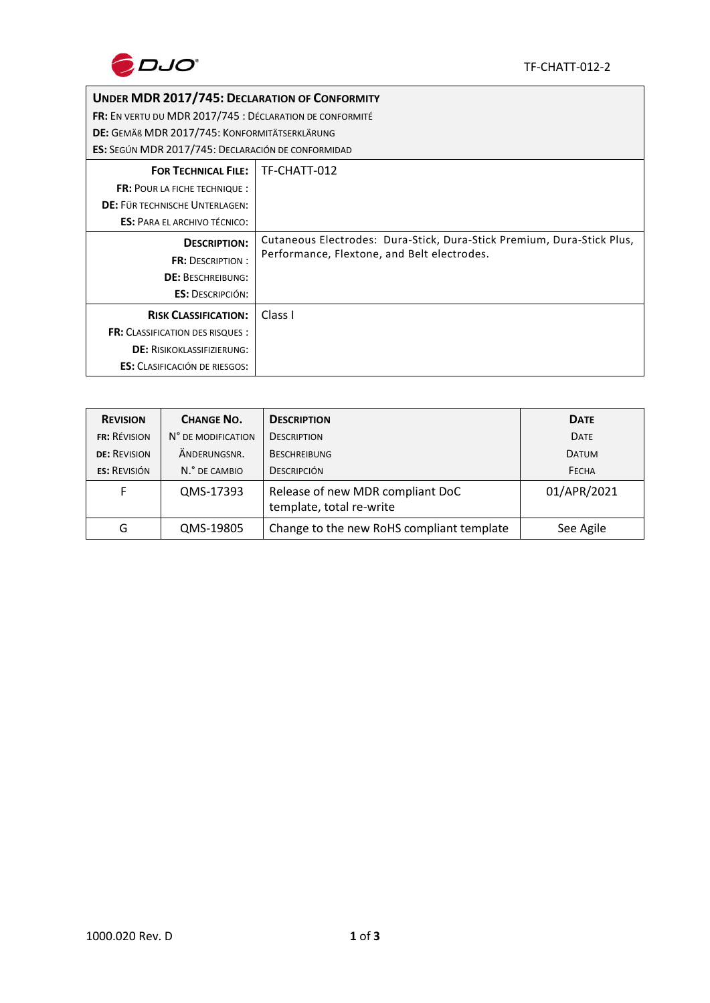

## **UNDER MDR 2017/745: DECLARATION OF CONFORMITY**

**FR:** EN VERTU DU MDR 2017/745 : DÉCLARATION DE CONFORMITÉ

**DE:** GEMÄß MDR 2017/745: KONFORMITÄTSERKLÄRUNG

**ES:** SEGÚN MDR 2017/745: DECLARACIÓN DE CONFORMIDAD

| <b>FOR TECHNICAL FILE:</b>              | TF-CHATT-012                                                           |
|-----------------------------------------|------------------------------------------------------------------------|
| <b>FR: POUR LA FICHE TECHNIQUE:</b>     |                                                                        |
| DE: FÜR TECHNISCHE UNTERLAGEN:          |                                                                        |
| <b>ES: PARA EL ARCHIVO TÉCNICO:</b>     |                                                                        |
| <b>DESCRIPTION:</b>                     | Cutaneous Electrodes: Dura-Stick, Dura-Stick Premium, Dura-Stick Plus, |
| <b>FR: DESCRIPTION:</b>                 | Performance, Flextone, and Belt electrodes.                            |
| <b>DE: BESCHREIBUNG:</b>                |                                                                        |
| <b>ES: DESCRIPCIÓN:</b>                 |                                                                        |
| <b>RISK CLASSIFICATION:</b>             | Class I                                                                |
| <b>FR:</b> CLASSIFICATION DES RISQUES : |                                                                        |
| <b>DE: RISIKOKLASSIFIZIERUNG:</b>       |                                                                        |
| <b>ES:</b> CLASIFICACIÓN DE RIESGOS:    |                                                                        |

| <b>REVISION</b>     | <b>CHANGE NO.</b>  | <b>DESCRIPTION</b>                                           | <b>DATE</b>  |
|---------------------|--------------------|--------------------------------------------------------------|--------------|
| <b>FR: REVISION</b> | N° DE MODIFICATION | <b>DESCRIPTION</b>                                           | <b>DATE</b>  |
| <b>DE: REVISION</b> | ÄNDERUNGSNR.       | <b>BESCHREIBUNG</b>                                          | <b>DATUM</b> |
| <b>ES: REVISIÓN</b> | N.º DE CAMBIO      | <b>DESCRIPCIÓN</b>                                           | FECHA        |
|                     | QMS-17393          | Release of new MDR compliant DoC<br>template, total re-write | 01/APR/2021  |
| G                   | QMS-19805          | Change to the new RoHS compliant template                    | See Agile    |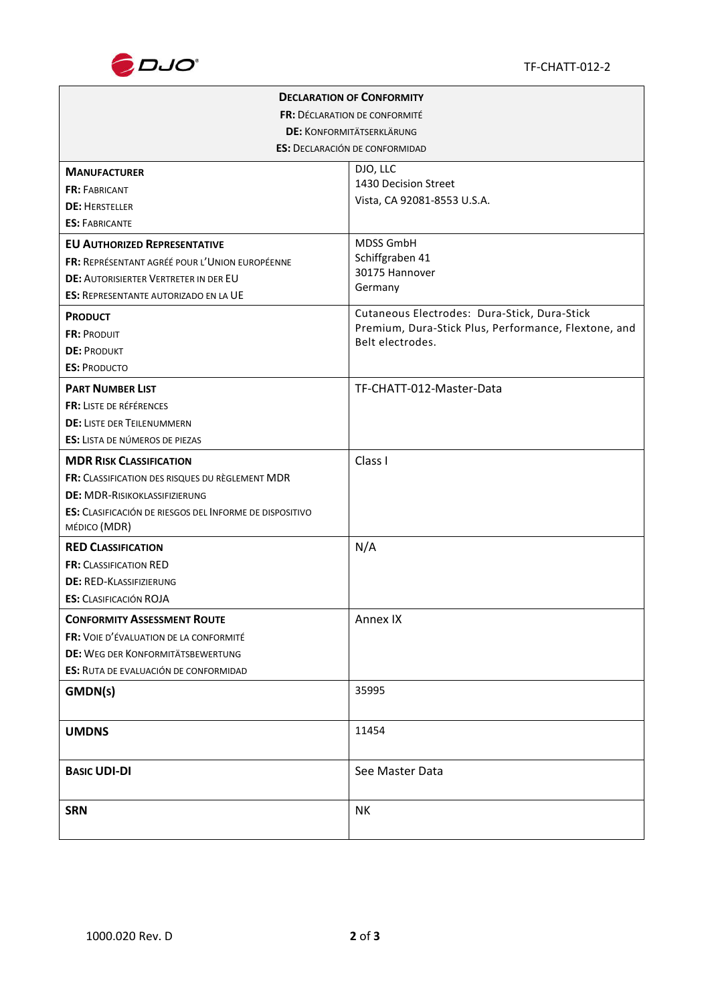

|                                                                | <b>DECLARATION OF CONFORMITY</b>                     |  |  |  |  |
|----------------------------------------------------------------|------------------------------------------------------|--|--|--|--|
| FR: DÉCLARATION DE CONFORMITÉ                                  |                                                      |  |  |  |  |
| <b>DE: KONFORMITÄTSERKLÄRUNG</b>                               |                                                      |  |  |  |  |
| <b>ES: DECLARACIÓN DE CONFORMIDAD</b>                          |                                                      |  |  |  |  |
| <b>MANUFACTURER</b>                                            | DJO, LLC                                             |  |  |  |  |
| <b>FR: FABRICANT</b>                                           | 1430 Decision Street                                 |  |  |  |  |
| <b>DE: HERSTELLER</b>                                          | Vista, CA 92081-8553 U.S.A.                          |  |  |  |  |
| <b>ES: FABRICANTE</b>                                          |                                                      |  |  |  |  |
| <b>EU AUTHORIZED REPRESENTATIVE</b>                            | MDSS GmbH                                            |  |  |  |  |
| FR: REPRÉSENTANT AGRÉÉ POUR L'UNION EUROPÉENNE                 | Schiffgraben 41                                      |  |  |  |  |
| <b>DE: AUTORISIERTER VERTRETER IN DER EU</b>                   | 30175 Hannover                                       |  |  |  |  |
| <b>ES: REPRESENTANTE AUTORIZADO EN LA UE</b>                   | Germany                                              |  |  |  |  |
| <b>PRODUCT</b>                                                 | Cutaneous Electrodes: Dura-Stick, Dura-Stick         |  |  |  |  |
| <b>FR: PRODUIT</b>                                             | Premium, Dura-Stick Plus, Performance, Flextone, and |  |  |  |  |
| <b>DE: PRODUKT</b>                                             | Belt electrodes.                                     |  |  |  |  |
| <b>ES: PRODUCTO</b>                                            |                                                      |  |  |  |  |
| <b>PART NUMBER LIST</b>                                        | TF-CHATT-012-Master-Data                             |  |  |  |  |
| FR: LISTE DE RÉFÉRENCES                                        |                                                      |  |  |  |  |
| <b>DE: LISTE DER TEILENUMMERN</b>                              |                                                      |  |  |  |  |
| <b>ES:</b> LISTA DE NÚMEROS DE PIEZAS                          |                                                      |  |  |  |  |
| <b>MDR RISK CLASSIFICATION</b>                                 | Class I                                              |  |  |  |  |
| FR: CLASSIFICATION DES RISQUES DU RÈGLEMENT MDR                |                                                      |  |  |  |  |
| <b>DE: MDR-RISIKOKLASSIFIZIERUNG</b>                           |                                                      |  |  |  |  |
| <b>ES:</b> CLASIFICACIÓN DE RIESGOS DEL INFORME DE DISPOSITIVO |                                                      |  |  |  |  |
| MÉDICO (MDR)                                                   |                                                      |  |  |  |  |
| <b>RED CLASSIFICATION</b>                                      | N/A                                                  |  |  |  |  |
| <b>FR: CLASSIFICATION RED</b>                                  |                                                      |  |  |  |  |
| <b>DE: RED-KLASSIFIZIERUNG</b>                                 |                                                      |  |  |  |  |
| <b>ES: CLASIFICACIÓN ROJA</b>                                  |                                                      |  |  |  |  |
| <b>CONFORMITY ASSESSMENT ROUTE</b>                             | Annex IX                                             |  |  |  |  |
| FR: VOIE D'ÉVALUATION DE LA CONFORMITÉ                         |                                                      |  |  |  |  |
| <b>DE: WEG DER KONFORMITÄTSBEWERTUNG</b>                       |                                                      |  |  |  |  |
| ES: RUTA DE EVALUACIÓN DE CONFORMIDAD                          |                                                      |  |  |  |  |
| GMDN(s)                                                        | 35995                                                |  |  |  |  |
|                                                                |                                                      |  |  |  |  |
| <b>UMDNS</b>                                                   | 11454                                                |  |  |  |  |
| <b>BASIC UDI-DI</b>                                            | See Master Data                                      |  |  |  |  |
|                                                                |                                                      |  |  |  |  |
| <b>SRN</b>                                                     | NΚ                                                   |  |  |  |  |
|                                                                |                                                      |  |  |  |  |